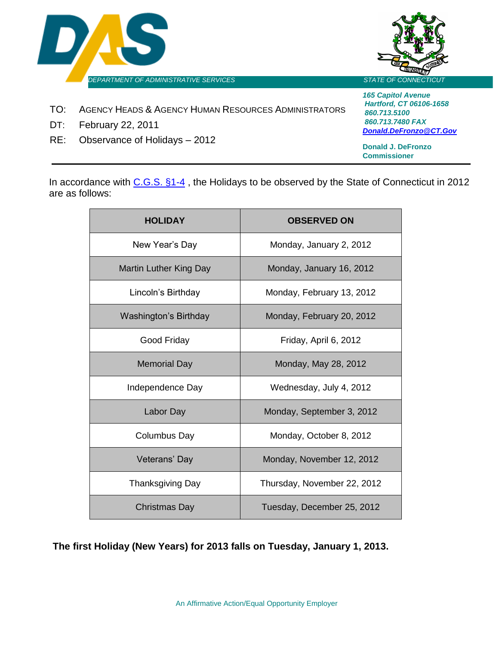



- TO: AGENCY HEADS & AGENCY HUMAN RESOURCES ADMINISTRATORS
- DT: February 22, 2011
- RE: Observance of Holidays 2012

*165 Capitol Avenue Hartford, CT 06106-1658 860.713.5100 860.713.7480 FAX [Donald.DeFronzo@CT.Gov](mailto:Donald.DeFronzo@CT.Gov)*

**Donald J. DeFronzo Commissioner**

In accordance with [C.G.S. §1-4](http://www.cga.ct.gov/2009/pub/chap002.htm), the Holidays to be observed by the State of Connecticut in 2012 are as follows:

| <b>HOLIDAY</b>                | <b>OBSERVED ON</b>          |
|-------------------------------|-----------------------------|
| New Year's Day                | Monday, January 2, 2012     |
| <b>Martin Luther King Day</b> | Monday, January 16, 2012    |
| Lincoln's Birthday            | Monday, February 13, 2012   |
| <b>Washington's Birthday</b>  | Monday, February 20, 2012   |
| Good Friday                   | Friday, April 6, 2012       |
| <b>Memorial Day</b>           | Monday, May 28, 2012        |
| Independence Day              | Wednesday, July 4, 2012     |
| Labor Day                     | Monday, September 3, 2012   |
| <b>Columbus Day</b>           | Monday, October 8, 2012     |
| Veterans' Day                 | Monday, November 12, 2012   |
| <b>Thanksgiving Day</b>       | Thursday, November 22, 2012 |
| Christmas Day                 | Tuesday, December 25, 2012  |

**The first Holiday (New Years) for 2013 falls on Tuesday, January 1, 2013.**